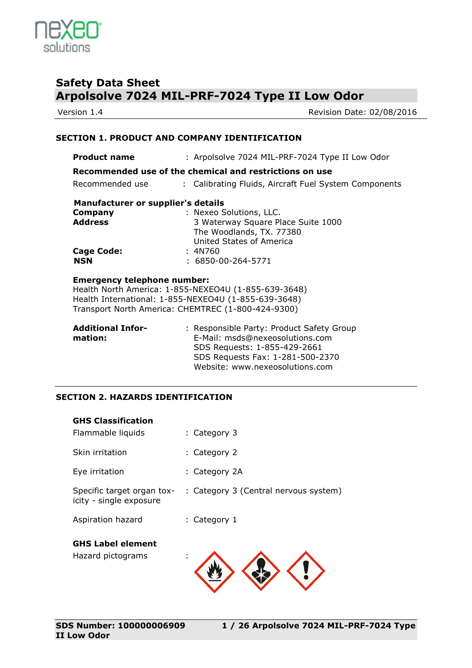

Version 1.4 **Version 1.4** Revision Date: 02/08/2016

### **SECTION 1. PRODUCT AND COMPANY IDENTIFICATION**

| <b>Product name</b>                                     | : Arpolsolve 7024 MIL-PRF-7024 Type II Low Odor       |  |
|---------------------------------------------------------|-------------------------------------------------------|--|
| Recommended use of the chemical and restrictions on use |                                                       |  |
| Recommended use                                         | : Calibrating Fluids, Aircraft Fuel System Components |  |
| Manufacturer or supplier's details                      |                                                       |  |
| Company                                                 | : Nexeo Solutions, LLC.                               |  |
| <b>Address</b>                                          | 3 Waterway Square Place Suite 1000                    |  |
|                                                         | The Woodlands, TX. 77380                              |  |
|                                                         | United States of America                              |  |
| <b>Cage Code:</b>                                       | : 4N760                                               |  |
| <b>NSN</b>                                              | $: 6850 - 00 - 264 - 5771$                            |  |
|                                                         |                                                       |  |
| <b>Emergency telephone number:</b>                      |                                                       |  |
| Health North America: 1-855-NEXEO4U (1-855-639-3648)    |                                                       |  |
| Health International: 1-855-NEXEO4U (1-855-639-3648)    |                                                       |  |
| Transport North America: CHEMTREC (1-800-424-9300)      |                                                       |  |

| : Responsible Party: Product Safety Group |
|-------------------------------------------|
|                                           |
|                                           |
|                                           |
|                                           |
|                                           |

### **SECTION 2. HAZARDS IDENTIFICATION**

| <b>GHS Classification</b><br>Flammable liquids        | : Category 3                          |
|-------------------------------------------------------|---------------------------------------|
|                                                       |                                       |
| Skin irritation                                       | : Category 2                          |
| Eye irritation                                        | : Category 2A                         |
| Specific target organ tox-<br>icity - single exposure | : Category 3 (Central nervous system) |
| Aspiration hazard                                     | : Category 1                          |
| <b>GHS Label element</b><br>Hazard pictograms         | ٠<br>ä,                               |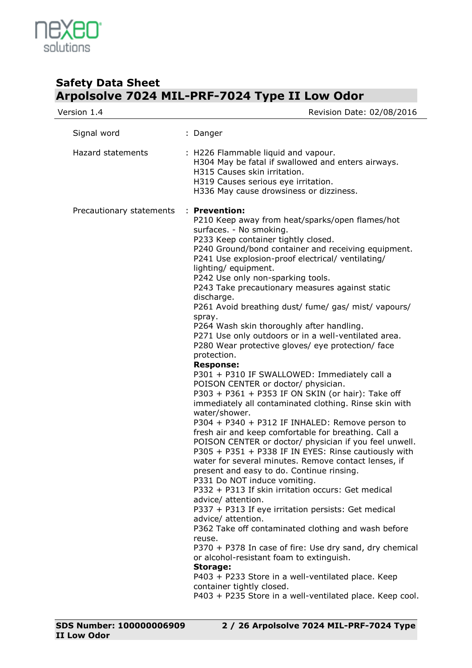

| Version 1.4              | Revision Date: 02/08/2016                                                                                                                                                                                                                                                                                                                                                                                                                                                                                                                                                                                                                                                                                                                                                                                                                                                                                                                                                                                                                                                                                                                                                                                                                                                                                                                                                                                                                                                                                                                                                                                                                                                                                                              |
|--------------------------|----------------------------------------------------------------------------------------------------------------------------------------------------------------------------------------------------------------------------------------------------------------------------------------------------------------------------------------------------------------------------------------------------------------------------------------------------------------------------------------------------------------------------------------------------------------------------------------------------------------------------------------------------------------------------------------------------------------------------------------------------------------------------------------------------------------------------------------------------------------------------------------------------------------------------------------------------------------------------------------------------------------------------------------------------------------------------------------------------------------------------------------------------------------------------------------------------------------------------------------------------------------------------------------------------------------------------------------------------------------------------------------------------------------------------------------------------------------------------------------------------------------------------------------------------------------------------------------------------------------------------------------------------------------------------------------------------------------------------------------|
| Signal word              | : Danger                                                                                                                                                                                                                                                                                                                                                                                                                                                                                                                                                                                                                                                                                                                                                                                                                                                                                                                                                                                                                                                                                                                                                                                                                                                                                                                                                                                                                                                                                                                                                                                                                                                                                                                               |
| <b>Hazard statements</b> | : H226 Flammable liquid and vapour.<br>H304 May be fatal if swallowed and enters airways.<br>H315 Causes skin irritation.<br>H319 Causes serious eye irritation.<br>H336 May cause drowsiness or dizziness.                                                                                                                                                                                                                                                                                                                                                                                                                                                                                                                                                                                                                                                                                                                                                                                                                                                                                                                                                                                                                                                                                                                                                                                                                                                                                                                                                                                                                                                                                                                            |
| Precautionary statements | : Prevention:<br>P210 Keep away from heat/sparks/open flames/hot<br>surfaces. - No smoking.<br>P233 Keep container tightly closed.<br>P240 Ground/bond container and receiving equipment.<br>P241 Use explosion-proof electrical/ ventilating/<br>lighting/equipment.<br>P242 Use only non-sparking tools.<br>P243 Take precautionary measures against static<br>discharge.<br>P261 Avoid breathing dust/ fume/ gas/ mist/ vapours/<br>spray.<br>P264 Wash skin thoroughly after handling.<br>P271 Use only outdoors or in a well-ventilated area.<br>P280 Wear protective gloves/ eye protection/ face<br>protection.<br><b>Response:</b><br>P301 + P310 IF SWALLOWED: Immediately call a<br>POISON CENTER or doctor/ physician.<br>P303 + P361 + P353 IF ON SKIN (or hair): Take off<br>immediately all contaminated clothing. Rinse skin with<br>water/shower.<br>P304 + P340 + P312 IF INHALED: Remove person to<br>fresh air and keep comfortable for breathing. Call a<br>POISON CENTER or doctor/ physician if you feel unwell.<br>P305 + P351 + P338 IF IN EYES: Rinse cautiously with<br>water for several minutes. Remove contact lenses, if<br>present and easy to do. Continue rinsing.<br>P331 Do NOT induce vomiting.<br>P332 + P313 If skin irritation occurs: Get medical<br>advice/ attention.<br>P337 + P313 If eye irritation persists: Get medical<br>advice/ attention.<br>P362 Take off contaminated clothing and wash before<br>reuse.<br>P370 + P378 In case of fire: Use dry sand, dry chemical<br>or alcohol-resistant foam to extinguish.<br><b>Storage:</b><br>P403 + P233 Store in a well-ventilated place. Keep<br>container tightly closed.<br>P403 + P235 Store in a well-ventilated place. Keep cool. |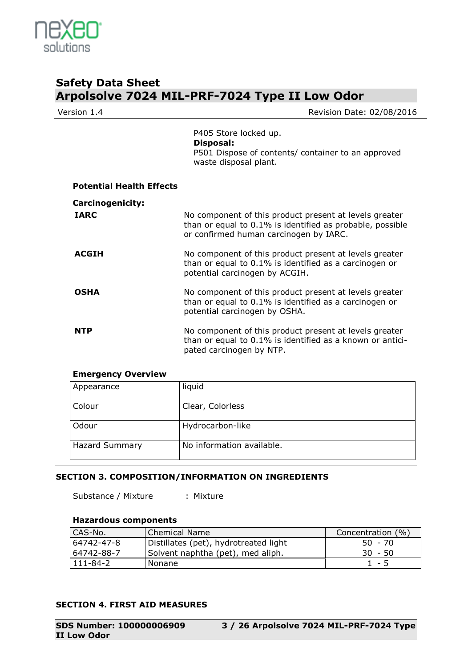

Revision Date: 02/08/2016

P405 Store locked up. **Disposal:**  P501 Dispose of contents/ container to an approved waste disposal plant.

| <b>Potential Health Effects</b> |                                                                                                                                                               |
|---------------------------------|---------------------------------------------------------------------------------------------------------------------------------------------------------------|
| <b>Carcinogenicity:</b>         |                                                                                                                                                               |
| <b>IARC</b>                     | No component of this product present at levels greater<br>than or equal to 0.1% is identified as probable, possible<br>or confirmed human carcinogen by IARC. |
| <b>ACGIH</b>                    | No component of this product present at levels greater<br>than or equal to 0.1% is identified as a carcinogen or<br>potential carcinogen by ACGIH.            |
| <b>OSHA</b>                     | No component of this product present at levels greater<br>than or equal to 0.1% is identified as a carcinogen or<br>potential carcinogen by OSHA.             |
| <b>NTP</b>                      | No component of this product present at levels greater<br>than or equal to 0.1% is identified as a known or antici-<br>pated carcinogen by NTP.               |

### **Emergency Overview**

| Appearance            | liquid                    |
|-----------------------|---------------------------|
| Colour                | Clear, Colorless          |
| Odour                 | Hydrocarbon-like          |
| <b>Hazard Summary</b> | No information available. |

### **SECTION 3. COMPOSITION/INFORMATION ON INGREDIENTS**

Substance / Mixture : Mixture

### **Hazardous components**

| CAS-No.    | <b>Chemical Name</b>                  | Concentration (%) |
|------------|---------------------------------------|-------------------|
| 64742-47-8 | Distillates (pet), hydrotreated light | $50 - 70$         |
| 64742-88-7 | Solvent naphtha (pet), med aliph.     | $30 - 50$         |
| 111-84-2   | <b>Nonane</b>                         | $1 - 5$           |

### **SECTION 4. FIRST AID MEASURES**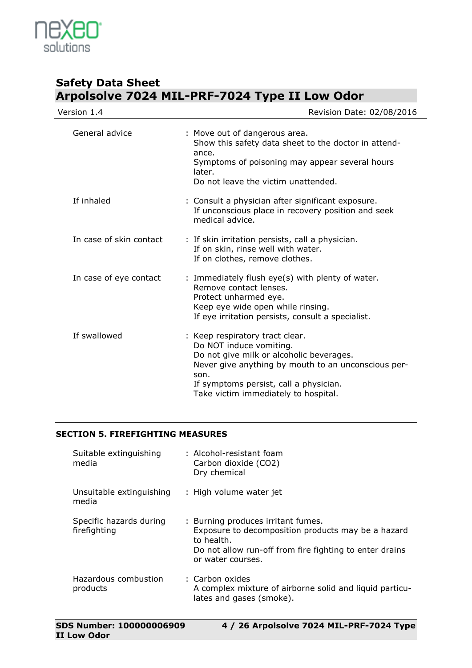

| Version 1.4             | Revision Date: 02/08/2016                                                                                                                                                                                                                               |
|-------------------------|---------------------------------------------------------------------------------------------------------------------------------------------------------------------------------------------------------------------------------------------------------|
| General advice          | : Move out of dangerous area.<br>Show this safety data sheet to the doctor in attend-<br>ance.<br>Symptoms of poisoning may appear several hours<br>later.<br>Do not leave the victim unattended.                                                       |
| If inhaled              | : Consult a physician after significant exposure.<br>If unconscious place in recovery position and seek<br>medical advice.                                                                                                                              |
| In case of skin contact | : If skin irritation persists, call a physician.<br>If on skin, rinse well with water.<br>If on clothes, remove clothes.                                                                                                                                |
| In case of eye contact  | : Immediately flush eye(s) with plenty of water.<br>Remove contact lenses.<br>Protect unharmed eye.<br>Keep eye wide open while rinsing.<br>If eye irritation persists, consult a specialist.                                                           |
| If swallowed            | : Keep respiratory tract clear.<br>Do NOT induce vomiting.<br>Do not give milk or alcoholic beverages.<br>Never give anything by mouth to an unconscious per-<br>son.<br>If symptoms persist, call a physician.<br>Take victim immediately to hospital. |

### **SECTION 5. FIREFIGHTING MEASURES**

| Suitable extinguishing<br>media         | : Alcohol-resistant foam<br>Carbon dioxide (CO2)<br>Dry chemical                                                                                                                       |
|-----------------------------------------|----------------------------------------------------------------------------------------------------------------------------------------------------------------------------------------|
| Unsuitable extinguishing<br>media       | : High volume water jet                                                                                                                                                                |
| Specific hazards during<br>firefighting | : Burning produces irritant fumes.<br>Exposure to decomposition products may be a hazard<br>to health.<br>Do not allow run-off from fire fighting to enter drains<br>or water courses. |
| Hazardous combustion<br>products        | : Carbon oxides<br>A complex mixture of airborne solid and liquid particu-<br>lates and gases (smoke).                                                                                 |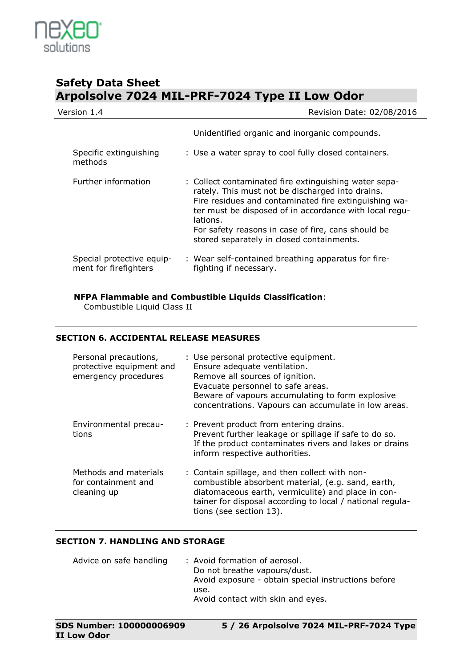

| Version 1.4                                        | Revision Date: 02/08/2016                                                                                                                                                                                                                                                                                                                   |  |
|----------------------------------------------------|---------------------------------------------------------------------------------------------------------------------------------------------------------------------------------------------------------------------------------------------------------------------------------------------------------------------------------------------|--|
|                                                    | Unidentified organic and inorganic compounds.                                                                                                                                                                                                                                                                                               |  |
| Specific extinguishing<br>methods                  | : Use a water spray to cool fully closed containers.                                                                                                                                                                                                                                                                                        |  |
| Further information                                | : Collect contaminated fire extinguishing water sepa-<br>rately. This must not be discharged into drains.<br>Fire residues and contaminated fire extinguishing wa-<br>ter must be disposed of in accordance with local regu-<br>lations.<br>For safety reasons in case of fire, cans should be<br>stored separately in closed containments. |  |
| Special protective equip-<br>ment for firefighters | : Wear self-contained breathing apparatus for fire-<br>fighting if necessary.                                                                                                                                                                                                                                                               |  |

**NFPA Flammable and Combustible Liquids Classification**:

Combustible Liquid Class II

### **SECTION 6. ACCIDENTAL RELEASE MEASURES**

| Personal precautions,<br>protective equipment and<br>emergency procedures | : Use personal protective equipment.<br>Ensure adequate ventilation.<br>Remove all sources of ignition.<br>Evacuate personnel to safe areas.<br>Beware of vapours accumulating to form explosive<br>concentrations. Vapours can accumulate in low areas. |
|---------------------------------------------------------------------------|----------------------------------------------------------------------------------------------------------------------------------------------------------------------------------------------------------------------------------------------------------|
| Environmental precau-<br>tions                                            | : Prevent product from entering drains.<br>Prevent further leakage or spillage if safe to do so.<br>If the product contaminates rivers and lakes or drains<br>inform respective authorities.                                                             |
| Methods and materials<br>for containment and<br>cleaning up               | : Contain spillage, and then collect with non-<br>combustible absorbent material, (e.g. sand, earth,<br>diatomaceous earth, vermiculite) and place in con-<br>tainer for disposal according to local / national regula-<br>tions (see section 13).       |

### **SECTION 7. HANDLING AND STORAGE**

| Advice on safe handling | : Avoid formation of aerosol.                       |
|-------------------------|-----------------------------------------------------|
|                         | Do not breathe vapours/dust.                        |
|                         | Avoid exposure - obtain special instructions before |
|                         | use.                                                |
|                         | Avoid contact with skin and eyes.                   |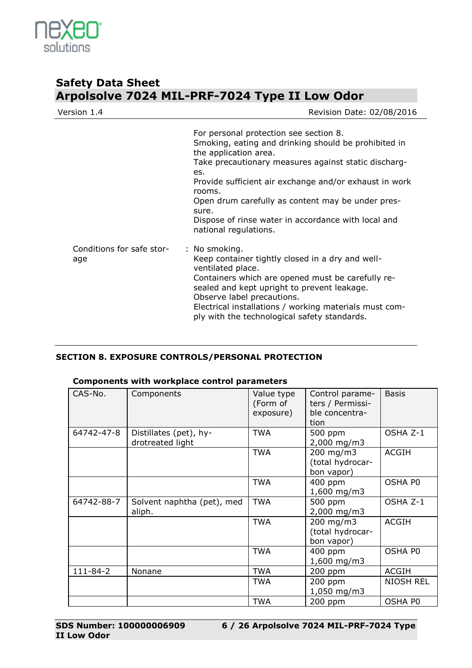

| Version 1.4                      | Revision Date: 02/08/2016                                                                                                                                                                                                                                                                                                                                                                                |  |
|----------------------------------|----------------------------------------------------------------------------------------------------------------------------------------------------------------------------------------------------------------------------------------------------------------------------------------------------------------------------------------------------------------------------------------------------------|--|
|                                  | For personal protection see section 8.<br>Smoking, eating and drinking should be prohibited in<br>the application area.<br>Take precautionary measures against static discharg-<br>es.<br>Provide sufficient air exchange and/or exhaust in work<br>rooms.<br>Open drum carefully as content may be under pres-<br>sure.<br>Dispose of rinse water in accordance with local and<br>national regulations. |  |
| Conditions for safe stor-<br>age | : No smoking.<br>Keep container tightly closed in a dry and well-<br>ventilated place.<br>Containers which are opened must be carefully re-<br>sealed and kept upright to prevent leakage.<br>Observe label precautions.<br>Electrical installations / working materials must com-<br>ply with the technological safety standards.                                                                       |  |

### **SECTION 8. EXPOSURE CONTROLS/PERSONAL PROTECTION**

### **Components with workplace control parameters**

| CAS-No.        | Components                                 | Value type<br>(Form of<br>exposure) | Control parame-<br>ters / Permissi-<br>ble concentra-<br>tion | <b>Basis</b>     |
|----------------|--------------------------------------------|-------------------------------------|---------------------------------------------------------------|------------------|
| 64742-47-8     | Distillates (pet), hy-<br>drotreated light | <b>TWA</b>                          | 500 ppm<br>2,000 mg/m3                                        | OSHA Z-1         |
|                |                                            | <b>TWA</b>                          | 200 mg/m3<br>(total hydrocar-<br>bon vapor)                   | <b>ACGIH</b>     |
|                |                                            | <b>TWA</b>                          | 400 ppm<br>1,600 mg/m3                                        | OSHA PO          |
| 64742-88-7     | Solvent naphtha (pet), med<br>aliph.       | <b>TWA</b>                          | 500 ppm<br>2,000 mg/m3                                        | OSHA Z-1         |
|                |                                            | <b>TWA</b>                          | 200 mg/m3<br>(total hydrocar-<br>bon vapor)                   | <b>ACGIH</b>     |
|                |                                            | <b>TWA</b>                          | 400 ppm<br>$1,600$ mg/m3                                      | OSHA PO          |
| $111 - 84 - 2$ | Nonane                                     | <b>TWA</b>                          | 200 ppm                                                       | <b>ACGIH</b>     |
|                |                                            | <b>TWA</b>                          | 200 ppm<br>1,050 mg/m3                                        | <b>NIOSH REL</b> |
|                |                                            | <b>TWA</b>                          | 200 ppm                                                       | OSHA PO          |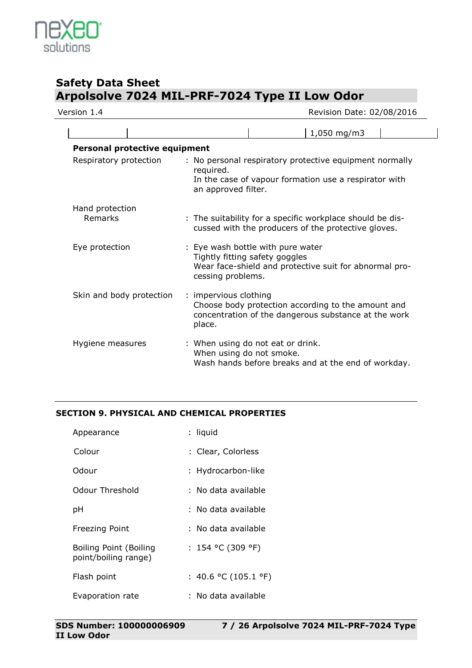

| Version 1.4                          | Revision Date: 02/08/2016                                                                                                                            |  |
|--------------------------------------|------------------------------------------------------------------------------------------------------------------------------------------------------|--|
|                                      | 1,050 mg/m3                                                                                                                                          |  |
| <b>Personal protective equipment</b> |                                                                                                                                                      |  |
| Respiratory protection               | : No personal respiratory protective equipment normally<br>required.<br>In the case of vapour formation use a respirator with<br>an approved filter. |  |
| Hand protection<br>Remarks           | : The suitability for a specific workplace should be dis-<br>cussed with the producers of the protective gloves.                                     |  |
| Eye protection                       | : Eye wash bottle with pure water<br>Tightly fitting safety goggles<br>Wear face-shield and protective suit for abnormal pro-<br>cessing problems.   |  |
| Skin and body protection             | : impervious clothing<br>Choose body protection according to the amount and<br>concentration of the dangerous substance at the work<br>place.        |  |
| Hygiene measures                     | : When using do not eat or drink.<br>When using do not smoke.<br>Wash hands before breaks and at the end of workday.                                 |  |

### **SECTION 9. PHYSICAL AND CHEMICAL PROPERTIES**

| Appearance                                     | : liquid             |
|------------------------------------------------|----------------------|
| Colour                                         | : Clear, Colorless   |
| Odour                                          | : Hydrocarbon-like   |
| Odour Threshold                                | : No data available  |
| рH                                             | : No data available  |
| Freezing Point                                 | : No data available  |
| Boiling Point (Boiling<br>point/boiling range) | : 154 °C (309 °F)    |
| Flash point                                    | : 40.6 °C (105.1 °F) |
| Evaporation rate                               | : No data available  |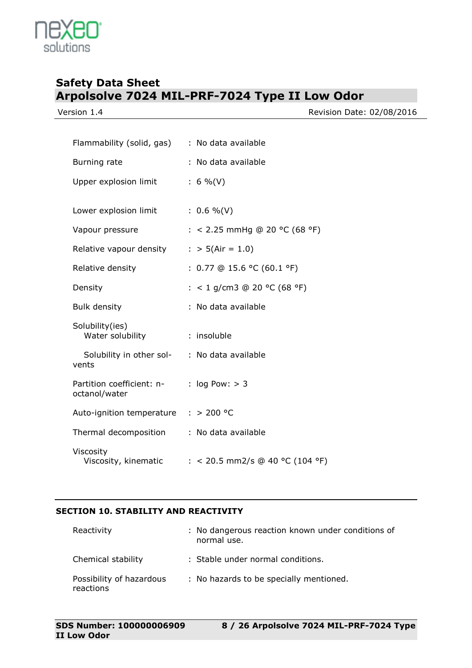solutions

Version 1.4 **Version 1.4** Revision Date: 02/08/2016

| Flammability (solid, gas)                  | : No data available             |
|--------------------------------------------|---------------------------------|
| Burning rate                               | : No data available             |
| Upper explosion limit                      | $: 6 \%$ (V)                    |
|                                            |                                 |
| Lower explosion limit                      | $: 0.6 \%$ (V)                  |
| Vapour pressure                            | : < 2.25 mmHg @ 20 °C (68 °F)   |
| Relative vapour density                    | : > $5(Air = 1.0)$              |
| Relative density                           | : $0.77$ @ 15.6 °C (60.1 °F)    |
| Density                                    | : < 1 g/cm3 @ 20 °C (68 °F)     |
| <b>Bulk density</b>                        | : No data available             |
| Solubility(ies)<br>Water solubility        | : insoluble                     |
| Solubility in other sol-<br>vents          | : No data available             |
| Partition coefficient: n-<br>octanol/water | : $log Pow: > 3$                |
| Auto-ignition temperature                  | : > 200 °C                      |
| Thermal decomposition                      | : No data available             |
| Viscosity<br>Viscosity, kinematic          | : < 20.5 mm2/s @ 40 °C (104 °F) |

### **SECTION 10. STABILITY AND REACTIVITY**

| Reactivity                            | : No dangerous reaction known under conditions of<br>normal use. |
|---------------------------------------|------------------------------------------------------------------|
| Chemical stability                    | : Stable under normal conditions.                                |
| Possibility of hazardous<br>reactions | : No hazards to be specially mentioned.                          |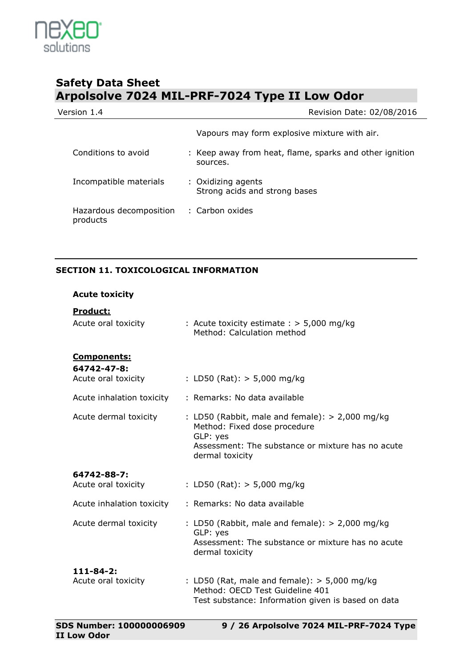

| Version 1.4                         | Revision Date: 02/08/2016                                           |
|-------------------------------------|---------------------------------------------------------------------|
|                                     | Vapours may form explosive mixture with air.                        |
| Conditions to avoid                 | : Keep away from heat, flame, sparks and other ignition<br>sources. |
| Incompatible materials              | : Oxidizing agents<br>Strong acids and strong bases                 |
| Hazardous decomposition<br>products | : Carbon oxides                                                     |

### **SECTION 11. TOXICOLOGICAL INFORMATION**

| <b>Acute toxicity</b>                                    |                                                                                                                                                                       |
|----------------------------------------------------------|-----------------------------------------------------------------------------------------------------------------------------------------------------------------------|
| Product:<br>Acute oral toxicity                          | : Acute toxicity estimate $:$ > 5,000 mg/kg<br>Method: Calculation method                                                                                             |
| <u>Components:</u><br>64742-47-8:<br>Acute oral toxicity | : LD50 (Rat): $>$ 5,000 mg/kg                                                                                                                                         |
| Acute inhalation toxicity                                | : Remarks: No data available                                                                                                                                          |
| Acute dermal toxicity                                    | : LD50 (Rabbit, male and female): $> 2,000$ mg/kg<br>Method: Fixed dose procedure<br>GLP: yes<br>Assessment: The substance or mixture has no acute<br>dermal toxicity |
| 64742-88-7:<br>Acute oral toxicity                       | : LD50 (Rat): $>$ 5,000 mg/kg                                                                                                                                         |
| Acute inhalation toxicity                                | : Remarks: No data available                                                                                                                                          |
| Acute dermal toxicity                                    | : LD50 (Rabbit, male and female): $> 2,000$ mg/kg<br>GLP: yes<br>Assessment: The substance or mixture has no acute<br>dermal toxicity                                 |
| $111 - 84 - 2$ :<br>Acute oral toxicity                  | : LD50 (Rat, male and female): $>$ 5,000 mg/kg<br>Method: OECD Test Guideline 401<br>Test substance: Information given is based on data                               |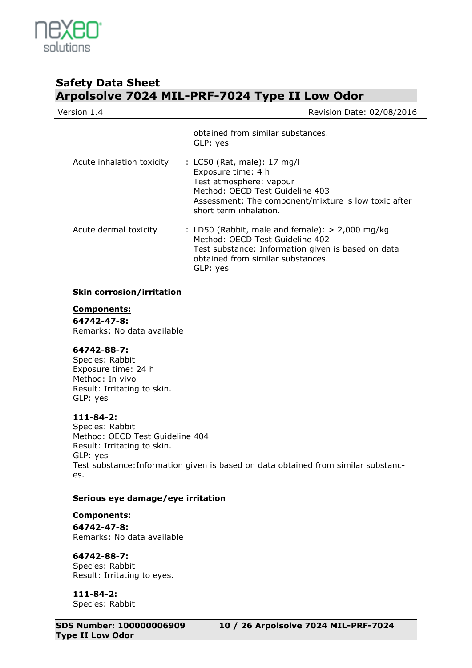

| Version 1.4               | Revision Date: 02/08/2016                                                                                                                                                                         |
|---------------------------|---------------------------------------------------------------------------------------------------------------------------------------------------------------------------------------------------|
|                           | obtained from similar substances.<br>GLP: yes                                                                                                                                                     |
| Acute inhalation toxicity | : LC50 (Rat, male): 17 mg/l<br>Exposure time: 4 h<br>Test atmosphere: vapour<br>Method: OECD Test Guideline 403<br>Assessment: The component/mixture is low toxic after<br>short term inhalation. |
| Acute dermal toxicity     | : LD50 (Rabbit, male and female): $> 2,000$ mg/kg<br>Method: OECD Test Guideline 402<br>Test substance: Information given is based on data<br>obtained from similar substances.<br>GLP: yes       |

### **Skin corrosion/irritation**

### **Components:**

**64742-47-8:** Remarks: No data available

### **64742-88-7:**

Species: Rabbit Exposure time: 24 h Method: In vivo Result: Irritating to skin. GLP: yes

### **111-84-2:**

Species: Rabbit Method: OECD Test Guideline 404 Result: Irritating to skin. GLP: yes Test substance:Information given is based on data obtained from similar substances.

### **Serious eye damage/eye irritation**

**Components: 64742-47-8:** Remarks: No data available

**64742-88-7:** Species: Rabbit Result: Irritating to eyes.

**111-84-2:** Species: Rabbit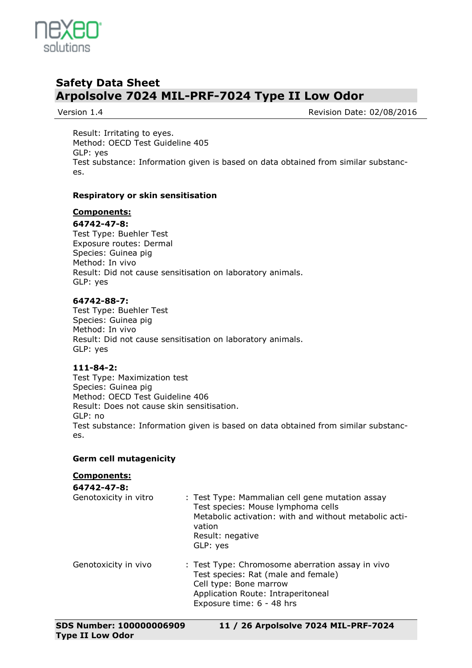

Version 1.4 **Network** 2010 **Review Additional Properties According Contract 2010/08/2016** 

Result: Irritating to eyes. Method: OECD Test Guideline 405 GLP: yes Test substance: Information given is based on data obtained from similar substances.

### **Respiratory or skin sensitisation**

#### **Components:**

#### **64742-47-8:**

Test Type: Buehler Test Exposure routes: Dermal Species: Guinea pig Method: In vivo Result: Did not cause sensitisation on laboratory animals. GLP: yes

#### **64742-88-7:**

Test Type: Buehler Test Species: Guinea pig Method: In vivo Result: Did not cause sensitisation on laboratory animals. GLP: yes

### **111-84-2:**

Test Type: Maximization test Species: Guinea pig Method: OECD Test Guideline 406 Result: Does not cause skin sensitisation. GLP: no Test substance: Information given is based on data obtained from similar substances.

### **Germ cell mutagenicity**

### **Components:**

| 64742-47-8:           |                                                                                                                                                                                           |
|-----------------------|-------------------------------------------------------------------------------------------------------------------------------------------------------------------------------------------|
| Genotoxicity in vitro | : Test Type: Mammalian cell gene mutation assay<br>Test species: Mouse lymphoma cells<br>Metabolic activation: with and without metabolic acti-<br>vation<br>Result: negative<br>GLP: yes |
| Genotoxicity in vivo  | : Test Type: Chromosome aberration assay in vivo<br>Test species: Rat (male and female)<br>Cell type: Bone marrow<br>Application Route: Intraperitoneal<br>Exposure time: 6 - 48 hrs      |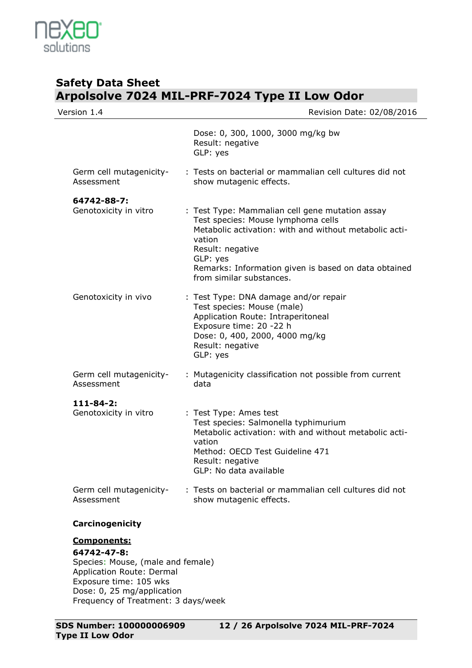

| Version 1.4                           | Revision Date: 02/08/2016                                                                                                                                                                                                                                                     |
|---------------------------------------|-------------------------------------------------------------------------------------------------------------------------------------------------------------------------------------------------------------------------------------------------------------------------------|
|                                       | Dose: 0, 300, 1000, 3000 mg/kg bw<br>Result: negative<br>GLP: yes                                                                                                                                                                                                             |
| Germ cell mutagenicity-<br>Assessment | : Tests on bacterial or mammalian cell cultures did not<br>show mutagenic effects.                                                                                                                                                                                            |
| 64742-88-7:                           |                                                                                                                                                                                                                                                                               |
| Genotoxicity in vitro                 | : Test Type: Mammalian cell gene mutation assay<br>Test species: Mouse lymphoma cells<br>Metabolic activation: with and without metabolic acti-<br>vation<br>Result: negative<br>GLP: yes<br>Remarks: Information given is based on data obtained<br>from similar substances. |
| Genotoxicity in vivo                  | : Test Type: DNA damage and/or repair<br>Test species: Mouse (male)<br>Application Route: Intraperitoneal<br>Exposure time: 20 -22 h<br>Dose: 0, 400, 2000, 4000 mg/kg<br>Result: negative<br>GLP: yes                                                                        |
| Germ cell mutagenicity-<br>Assessment | : Mutagenicity classification not possible from current<br>data                                                                                                                                                                                                               |
| $111 - 84 - 2:$                       |                                                                                                                                                                                                                                                                               |
| Genotoxicity in vitro                 | : Test Type: Ames test<br>Test species: Salmonella typhimurium<br>Metabolic activation: with and without metabolic acti-<br>vation<br>Method: OECD Test Guideline 471<br>Result: negative<br>GLP: No data available                                                           |
| Germ cell mutagenicity-<br>Assessment | : Tests on bacterial or mammalian cell cultures did not<br>show mutagenic effects.                                                                                                                                                                                            |
| Carcinogenicity                       |                                                                                                                                                                                                                                                                               |
| <b>Components:</b>                    |                                                                                                                                                                                                                                                                               |
|                                       |                                                                                                                                                                                                                                                                               |

**64742-47-8:** Species: Mouse, (male and female) Application Route: Dermal Exposure time: 105 wks Dose: 0, 25 mg/application Frequency of Treatment: 3 days/week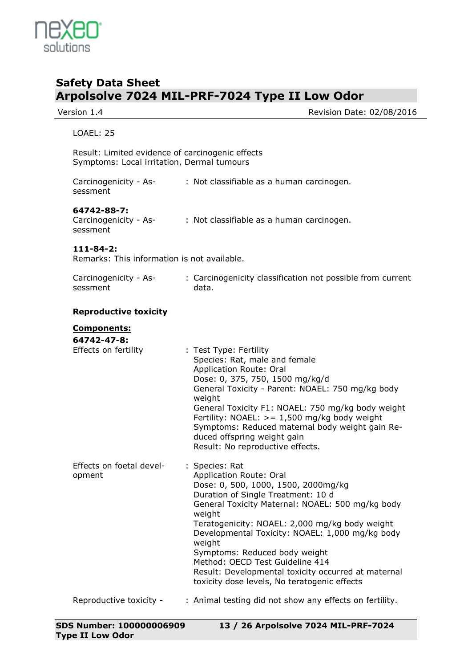

| Version 1.4                                                    | Revision Date: 02/08/2016                                                                                                                                                                                                                                                                                                                                                                                                      |
|----------------------------------------------------------------|--------------------------------------------------------------------------------------------------------------------------------------------------------------------------------------------------------------------------------------------------------------------------------------------------------------------------------------------------------------------------------------------------------------------------------|
| <b>LOAEL: 25</b>                                               |                                                                                                                                                                                                                                                                                                                                                                                                                                |
| Symptoms: Local irritation, Dermal tumours                     | Result: Limited evidence of carcinogenic effects                                                                                                                                                                                                                                                                                                                                                                               |
| Carcinogenicity - As-<br>sessment                              | : Not classifiable as a human carcinogen.                                                                                                                                                                                                                                                                                                                                                                                      |
| 64742-88-7:<br>Carcinogenicity - As-<br>sessment               | : Not classifiable as a human carcinogen.                                                                                                                                                                                                                                                                                                                                                                                      |
| $111 - 84 - 2:$<br>Remarks: This information is not available. |                                                                                                                                                                                                                                                                                                                                                                                                                                |
| Carcinogenicity - As-<br>sessment                              | : Carcinogenicity classification not possible from current<br>data.                                                                                                                                                                                                                                                                                                                                                            |
| <b>Reproductive toxicity</b>                                   |                                                                                                                                                                                                                                                                                                                                                                                                                                |
| <b>Components:</b><br>64742-47-8:                              |                                                                                                                                                                                                                                                                                                                                                                                                                                |
| Effects on fertility                                           | : Test Type: Fertility<br>Species: Rat, male and female<br>Application Route: Oral<br>Dose: 0, 375, 750, 1500 mg/kg/d<br>General Toxicity - Parent: NOAEL: 750 mg/kg body<br>weight<br>General Toxicity F1: NOAEL: 750 mg/kg body weight<br>Fertility: NOAEL: $> = 1,500$ mg/kg body weight<br>Symptoms: Reduced maternal body weight gain Re-<br>duced offspring weight gain<br>Result: No reproductive effects.              |
| Effects on foetal devel-<br>opment                             | : Species: Rat<br>Application Route: Oral<br>Dose: 0, 500, 1000, 1500, 2000mg/kg<br>Duration of Single Treatment: 10 d<br>General Toxicity Maternal: NOAEL: 500 mg/kg body<br>weight<br>Teratogenicity: NOAEL: 2,000 mg/kg body weight<br>Developmental Toxicity: NOAEL: 1,000 mg/kg body<br>weight<br>Symptoms: Reduced body weight<br>Method: OECD Test Guideline 414<br>Result: Developmental toxicity occurred at maternal |

Reproductive toxicity - : Animal testing did not show any effects on fertility.

toxicity dose levels, No teratogenic effects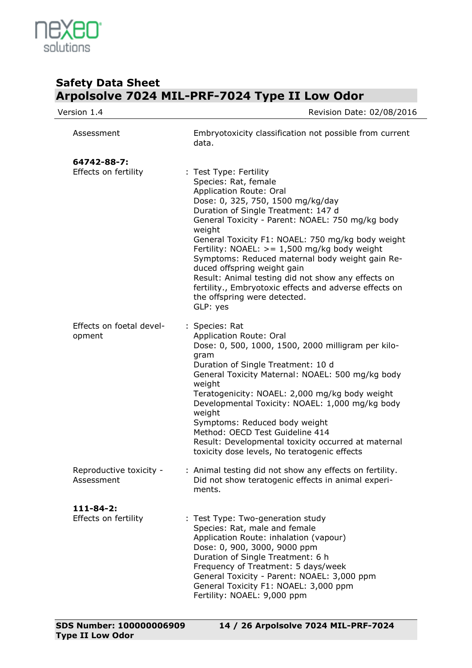

| Version 1.4                             | Revision Date: 02/08/2016                                                                                                                                                                                                                                                                                                                                                                                                                                                                                                                                                |
|-----------------------------------------|--------------------------------------------------------------------------------------------------------------------------------------------------------------------------------------------------------------------------------------------------------------------------------------------------------------------------------------------------------------------------------------------------------------------------------------------------------------------------------------------------------------------------------------------------------------------------|
| Assessment                              | Embryotoxicity classification not possible from current<br>data.                                                                                                                                                                                                                                                                                                                                                                                                                                                                                                         |
| 64742-88-7:<br>Effects on fertility     | : Test Type: Fertility<br>Species: Rat, female<br>Application Route: Oral<br>Dose: 0, 325, 750, 1500 mg/kg/day<br>Duration of Single Treatment: 147 d<br>General Toxicity - Parent: NOAEL: 750 mg/kg body<br>weight<br>General Toxicity F1: NOAEL: 750 mg/kg body weight<br>Fertility: NOAEL: $>= 1,500$ mg/kg body weight<br>Symptoms: Reduced maternal body weight gain Re-<br>duced offspring weight gain<br>Result: Animal testing did not show any effects on<br>fertility., Embryotoxic effects and adverse effects on<br>the offspring were detected.<br>GLP: yes |
| Effects on foetal devel-<br>opment      | : Species: Rat<br>Application Route: Oral<br>Dose: 0, 500, 1000, 1500, 2000 milligram per kilo-<br>gram<br>Duration of Single Treatment: 10 d<br>General Toxicity Maternal: NOAEL: 500 mg/kg body<br>weight<br>Teratogenicity: NOAEL: 2,000 mg/kg body weight<br>Developmental Toxicity: NOAEL: 1,000 mg/kg body<br>weight<br>Symptoms: Reduced body weight<br>Method: OECD Test Guideline 414<br>Result: Developmental toxicity occurred at maternal<br>toxicity dose levels, No teratogenic effects                                                                    |
| Reproductive toxicity -<br>Assessment   | : Animal testing did not show any effects on fertility.<br>Did not show teratogenic effects in animal experi-<br>ments.                                                                                                                                                                                                                                                                                                                                                                                                                                                  |
| $111 - 84 - 2:$<br>Effects on fertility | : Test Type: Two-generation study<br>Species: Rat, male and female<br>Application Route: inhalation (vapour)<br>Dose: 0, 900, 3000, 9000 ppm<br>Duration of Single Treatment: 6 h<br>Frequency of Treatment: 5 days/week<br>General Toxicity - Parent: NOAEL: 3,000 ppm<br>General Toxicity F1: NOAEL: 3,000 ppm<br>Fertility: NOAEL: 9,000 ppm                                                                                                                                                                                                                          |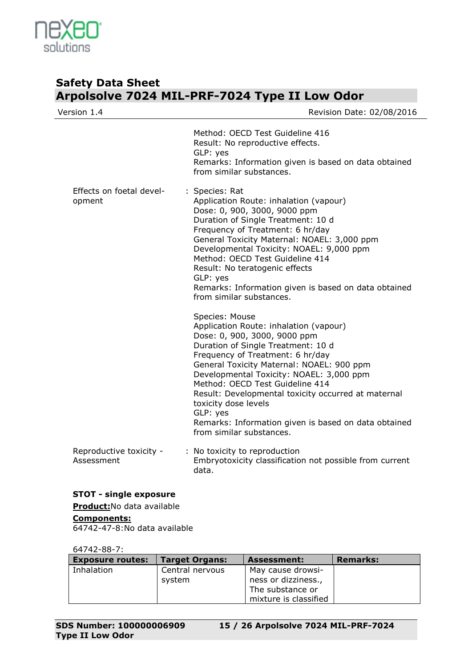

| Version 1.4                                                                       | Revision Date: 02/08/2016                                                                                                                                                                                                                                                                                                                                                                                                                                                     |
|-----------------------------------------------------------------------------------|-------------------------------------------------------------------------------------------------------------------------------------------------------------------------------------------------------------------------------------------------------------------------------------------------------------------------------------------------------------------------------------------------------------------------------------------------------------------------------|
|                                                                                   | Method: OECD Test Guideline 416<br>Result: No reproductive effects.<br>GLP: yes<br>Remarks: Information given is based on data obtained<br>from similar substances.                                                                                                                                                                                                                                                                                                           |
| Effects on foetal devel-<br>opment                                                | : Species: Rat<br>Application Route: inhalation (vapour)<br>Dose: 0, 900, 3000, 9000 ppm<br>Duration of Single Treatment: 10 d<br>Frequency of Treatment: 6 hr/day<br>General Toxicity Maternal: NOAEL: 3,000 ppm<br>Developmental Toxicity: NOAEL: 9,000 ppm<br>Method: OECD Test Guideline 414<br>Result: No teratogenic effects<br>GLP: yes<br>Remarks: Information given is based on data obtained<br>from similar substances.                                            |
|                                                                                   | Species: Mouse<br>Application Route: inhalation (vapour)<br>Dose: 0, 900, 3000, 9000 ppm<br>Duration of Single Treatment: 10 d<br>Frequency of Treatment: 6 hr/day<br>General Toxicity Maternal: NOAEL: 900 ppm<br>Developmental Toxicity: NOAEL: 3,000 ppm<br>Method: OECD Test Guideline 414<br>Result: Developmental toxicity occurred at maternal<br>toxicity dose levels<br>GLP: yes<br>Remarks: Information given is based on data obtained<br>from similar substances. |
| Reproductive toxicity -<br>Assessment                                             | : No toxicity to reproduction<br>Embryotoxicity classification not possible from current<br>data.                                                                                                                                                                                                                                                                                                                                                                             |
| <b>STOT - single exposure</b><br>Product: No data available<br><b>Components:</b> |                                                                                                                                                                                                                                                                                                                                                                                                                                                                               |

64742-47-8:No data available

### 64742-88-7:

| <b>Exposure routes:</b> | <b>Target Organs:</b> | <b>Assessment:</b>    | <b>Remarks:</b> |
|-------------------------|-----------------------|-----------------------|-----------------|
| Inhalation              | Central nervous       | May cause drowsi-     |                 |
|                         | system                | ness or dizziness.,   |                 |
|                         |                       | The substance or      |                 |
|                         |                       | mixture is classified |                 |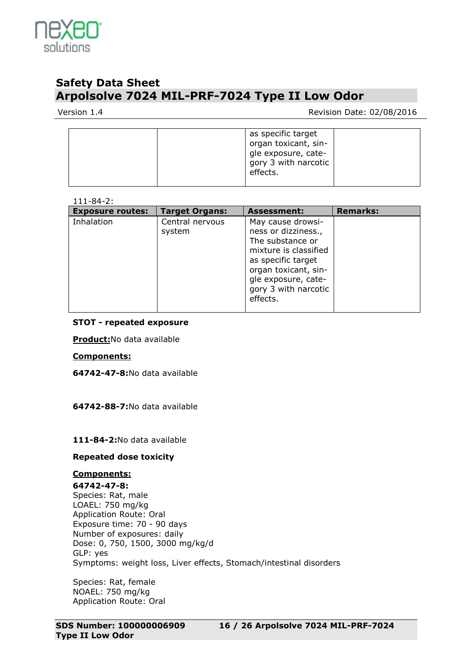

### Version 1.4 **Network** 2010 **Review Additional Properties According Contract 2010/08/2016**

| organ toxicant, sin-<br>gle exposure, cate-<br>gory 3 with narcotic<br>effects. |
|---------------------------------------------------------------------------------|
|---------------------------------------------------------------------------------|

### 111-84-2:

| <b>Exposure routes:</b> | <b>Target Organs:</b>     | <b>Assessment:</b>                                                                                                                                                                             | <b>Remarks:</b> |
|-------------------------|---------------------------|------------------------------------------------------------------------------------------------------------------------------------------------------------------------------------------------|-----------------|
| Inhalation              | Central nervous<br>system | May cause drowsi-<br>ness or dizziness.,<br>The substance or<br>mixture is classified<br>as specific target<br>organ toxicant, sin-<br>gle exposure, cate-<br>gory 3 with narcotic<br>effects. |                 |

### **STOT - repeated exposure**

**Product:**No data available

### **Components:**

**64742-47-8:**No data available

**64742-88-7:**No data available

**111-84-2:**No data available

### **Repeated dose toxicity**

### **Components:**

**64742-47-8:** Species: Rat, male LOAEL: 750 mg/kg Application Route: Oral Exposure time: 70 - 90 days Number of exposures: daily Dose: 0, 750, 1500, 3000 mg/kg/d GLP: yes Symptoms: weight loss, Liver effects, Stomach/intestinal disorders

Species: Rat, female NOAEL: 750 mg/kg Application Route: Oral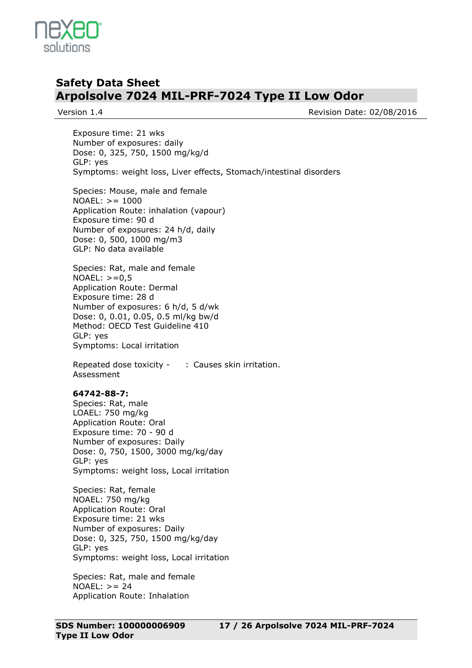

Version 1.4 **Network 1.4** Revision Date: 02/08/2016

Exposure time: 21 wks Number of exposures: daily Dose: 0, 325, 750, 1500 mg/kg/d GLP: yes Symptoms: weight loss, Liver effects, Stomach/intestinal disorders

Species: Mouse, male and female NOAEL: >= 1000 Application Route: inhalation (vapour) Exposure time: 90 d Number of exposures: 24 h/d, daily Dose: 0, 500, 1000 mg/m3 GLP: No data available

Species: Rat, male and female  $NOAEL: > = 0.5$ Application Route: Dermal Exposure time: 28 d Number of exposures: 6 h/d, 5 d/wk Dose: 0, 0.01, 0.05, 0.5 ml/kg bw/d Method: OECD Test Guideline 410 GLP: yes Symptoms: Local irritation

Repeated dose toxicity - : Causes skin irritation. Assessment

### **64742-88-7:**

Species: Rat, male LOAEL: 750 mg/kg Application Route: Oral Exposure time: 70 - 90 d Number of exposures: Daily Dose: 0, 750, 1500, 3000 mg/kg/day GLP: yes Symptoms: weight loss, Local irritation

Species: Rat, female NOAEL: 750 mg/kg Application Route: Oral Exposure time: 21 wks Number of exposures: Daily Dose: 0, 325, 750, 1500 mg/kg/day GLP: yes Symptoms: weight loss, Local irritation

Species: Rat, male and female  $NOAEL: > = 24$ Application Route: Inhalation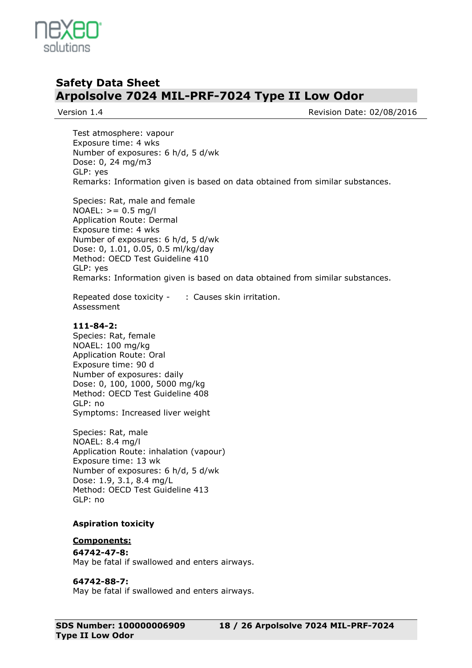

Version 1.4 **Version 1.4** Revision Date: 02/08/2016

Test atmosphere: vapour Exposure time: 4 wks Number of exposures: 6 h/d, 5 d/wk Dose: 0, 24 mg/m3 GLP: yes Remarks: Information given is based on data obtained from similar substances.

Species: Rat, male and female NOAEL:  $> = 0.5$  mg/l Application Route: Dermal Exposure time: 4 wks Number of exposures: 6 h/d, 5 d/wk Dose: 0, 1.01, 0.05, 0.5 ml/kg/day Method: OECD Test Guideline 410 GLP: yes Remarks: Information given is based on data obtained from similar substances.

Repeated dose toxicity - : Causes skin irritation. Assessment

#### **111-84-2:**

Species: Rat, female NOAEL: 100 mg/kg Application Route: Oral Exposure time: 90 d Number of exposures: daily Dose: 0, 100, 1000, 5000 mg/kg Method: OECD Test Guideline 408 GLP: no Symptoms: Increased liver weight

Species: Rat, male NOAEL: 8.4 mg/l Application Route: inhalation (vapour) Exposure time: 13 wk Number of exposures: 6 h/d, 5 d/wk Dose: 1.9, 3.1, 8.4 mg/L Method: OECD Test Guideline 413 GLP: no

### **Aspiration toxicity**

#### **Components:**

**64742-47-8:** May be fatal if swallowed and enters airways.

#### **64742-88-7:**

May be fatal if swallowed and enters airways.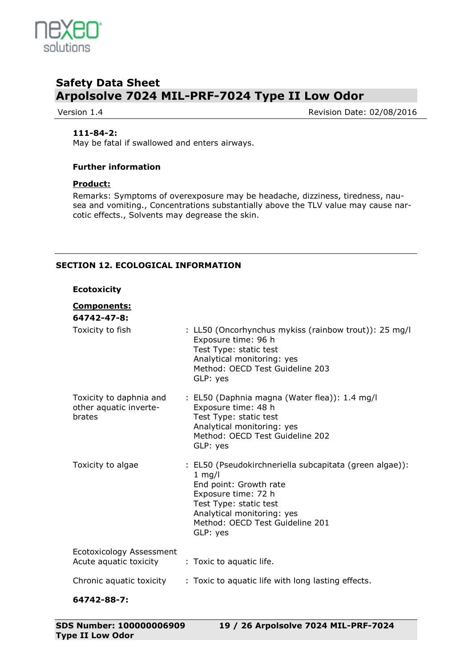

Version 1.4 **Version 1.4** Revision Date: 02/08/2016

### **111-84-2:**

May be fatal if swallowed and enters airways.

### **Further information**

### **Product:**

Remarks: Symptoms of overexposure may be headache, dizziness, tiredness, nausea and vomiting., Concentrations substantially above the TLV value may cause narcotic effects., Solvents may degrease the skin.

### **SECTION 12. ECOLOGICAL INFORMATION**

### **Ecotoxicity**

### **Components:**

| 64742-47-8:                                                 |                                                                                                                                                                                                                             |
|-------------------------------------------------------------|-----------------------------------------------------------------------------------------------------------------------------------------------------------------------------------------------------------------------------|
| Toxicity to fish                                            | : LL50 (Oncorhynchus mykiss (rainbow trout)): 25 mg/l<br>Exposure time: 96 h<br>Test Type: static test<br>Analytical monitoring: yes<br>Method: OECD Test Guideline 203<br>GLP: yes                                         |
| Toxicity to daphnia and<br>other aquatic inverte-<br>brates | : EL50 (Daphnia magna (Water flea)): 1.4 mg/l<br>Exposure time: 48 h<br>Test Type: static test<br>Analytical monitoring: yes<br>Method: OECD Test Guideline 202<br>GLP: yes                                                 |
| Toxicity to algae                                           | : EL50 (Pseudokirchneriella subcapitata (green algae)):<br>$1$ mg/l<br>End point: Growth rate<br>Exposure time: 72 h<br>Test Type: static test<br>Analytical monitoring: yes<br>Method: OECD Test Guideline 201<br>GLP: yes |
| Ecotoxicology Assessment<br>Acute aquatic toxicity          | : Toxic to aquatic life.                                                                                                                                                                                                    |
| Chronic aquatic toxicity                                    | : Toxic to aquatic life with long lasting effects.                                                                                                                                                                          |
| 64742-88-7:                                                 |                                                                                                                                                                                                                             |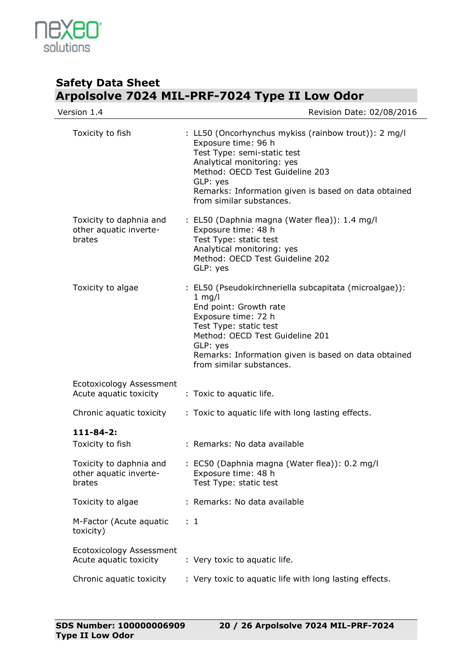

| Version 1.4                                                 | Revision Date: 02/08/2016                                                                                                                                                                                                                                                        |
|-------------------------------------------------------------|----------------------------------------------------------------------------------------------------------------------------------------------------------------------------------------------------------------------------------------------------------------------------------|
| Toxicity to fish                                            | : LL50 (Oncorhynchus mykiss (rainbow trout)): 2 mg/l<br>Exposure time: 96 h<br>Test Type: semi-static test<br>Analytical monitoring: yes<br>Method: OECD Test Guideline 203<br>GLP: yes<br>Remarks: Information given is based on data obtained<br>from similar substances.      |
| Toxicity to daphnia and<br>other aquatic inverte-<br>brates | : EL50 (Daphnia magna (Water flea)): 1.4 mg/l<br>Exposure time: 48 h<br>Test Type: static test<br>Analytical monitoring: yes<br>Method: OECD Test Guideline 202<br>GLP: yes                                                                                                      |
| Toxicity to algae                                           | : EL50 (Pseudokirchneriella subcapitata (microalgae)):<br>$1$ mg/l<br>End point: Growth rate<br>Exposure time: 72 h<br>Test Type: static test<br>Method: OECD Test Guideline 201<br>GLP: yes<br>Remarks: Information given is based on data obtained<br>from similar substances. |
| Ecotoxicology Assessment<br>Acute aquatic toxicity          | : Toxic to aquatic life.                                                                                                                                                                                                                                                         |
| Chronic aquatic toxicity                                    | : Toxic to aquatic life with long lasting effects.                                                                                                                                                                                                                               |
| $111 - 84 - 2:$<br>Toxicity to fish                         | : Remarks: No data available                                                                                                                                                                                                                                                     |
| Toxicity to daphnia and<br>other aquatic inverte-<br>brates | : EC50 (Daphnia magna (Water flea)): 0.2 mg/l<br>Exposure time: 48 h<br>Test Type: static test                                                                                                                                                                                   |
| Toxicity to algae                                           | : Remarks: No data available                                                                                                                                                                                                                                                     |
| M-Factor (Acute aquatic<br>toxicity)                        | $\therefore$ 1                                                                                                                                                                                                                                                                   |
| Ecotoxicology Assessment<br>Acute aquatic toxicity          | : Very toxic to aquatic life.                                                                                                                                                                                                                                                    |
| Chronic aquatic toxicity                                    | : Very toxic to aquatic life with long lasting effects.                                                                                                                                                                                                                          |
|                                                             |                                                                                                                                                                                                                                                                                  |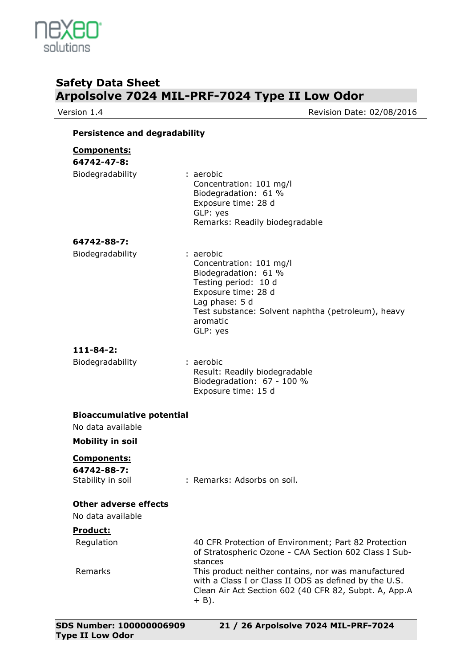

Version 1.4 **Version 1.4** Revision Date: 02/08/2016

### **Persistence and degradability**

| <b>Components:</b><br>64742-47-8:<br>Biodegradability | : aerobic<br>Concentration: 101 mg/l<br>Biodegradation: 61 %<br>Exposure time: 28 d<br>GLP: yes<br>Remarks: Readily biodegradable                                                                           |
|-------------------------------------------------------|-------------------------------------------------------------------------------------------------------------------------------------------------------------------------------------------------------------|
| 64742-88-7:<br>Biodegradability                       | : aerobic<br>Concentration: 101 mg/l<br>Biodegradation: 61 %<br>Testing period: 10 d<br>Exposure time: 28 d<br>Lag phase: 5 d<br>Test substance: Solvent naphtha (petroleum), heavy<br>aromatic<br>GLP: yes |

### **111-84-2:**

| Biodegradability | : aerobic                     |
|------------------|-------------------------------|
|                  | Result: Readily biodegradable |
|                  | Biodegradation: 67 - 100 %    |
|                  | Exposure time: 15 d           |
|                  |                               |

### **Bioaccumulative potential**

No data available

**Mobility in soil**

### **Components:**

**64742-88-7:**

Stability in soil : Remarks: Adsorbs on soil.

### **Other adverse effects**

No data available

### **Product:**

| Regulation | 40 CFR Protection of Environment; Part 82 Protection                                                                                                                             |
|------------|----------------------------------------------------------------------------------------------------------------------------------------------------------------------------------|
|            | of Stratospheric Ozone - CAA Section 602 Class I Sub-<br>stances                                                                                                                 |
| Remarks    | This product neither contains, nor was manufactured<br>with a Class I or Class II ODS as defined by the U.S.<br>Clean Air Act Section 602 (40 CFR 82, Subpt. A, App.A<br>$+$ B). |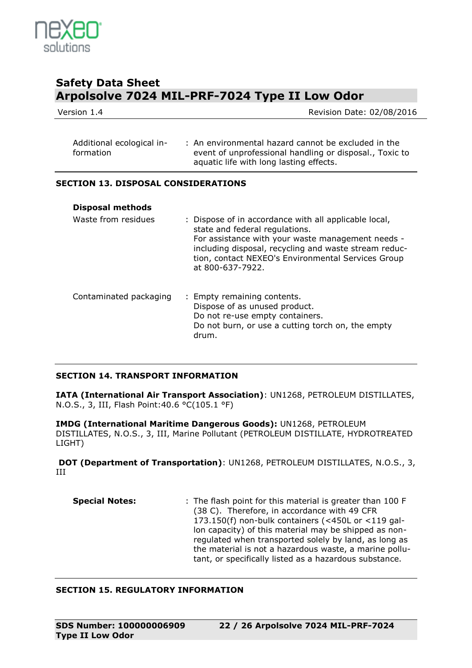

Version 1.4 **Network** 2010 **Review Additional Properties According COVID-1008** Revision Date: 02/08/2016

| Additional ecological in- | : An environmental hazard cannot be excluded in the     |
|---------------------------|---------------------------------------------------------|
| formation                 | event of unprofessional handling or disposal., Toxic to |
|                           | aquatic life with long lasting effects.                 |

### **SECTION 13. DISPOSAL CONSIDERATIONS**

| <b>Disposal methods</b> |                                                                                                                                                                                                                                                                                 |
|-------------------------|---------------------------------------------------------------------------------------------------------------------------------------------------------------------------------------------------------------------------------------------------------------------------------|
| Waste from residues     | : Dispose of in accordance with all applicable local,<br>state and federal regulations.<br>For assistance with your waste management needs -<br>including disposal, recycling and waste stream reduc-<br>tion, contact NEXEO's Environmental Services Group<br>at 800-637-7922. |
| Contaminated packaging  | : Empty remaining contents.<br>Dispose of as unused product.<br>Do not re-use empty containers.<br>Do not burn, or use a cutting torch on, the empty<br>drum.                                                                                                                   |

### **SECTION 14. TRANSPORT INFORMATION**

**IATA (International Air Transport Association)**: UN1268, PETROLEUM DISTILLATES, N.O.S., 3, III, Flash Point:40.6 °C(105.1 °F)

**IMDG (International Maritime Dangerous Goods):** UN1268, PETROLEUM DISTILLATES, N.O.S., 3, III, Marine Pollutant (PETROLEUM DISTILLATE, HYDROTREATED LIGHT)

**DOT (Department of Transportation)**: UN1268, PETROLEUM DISTILLATES, N.O.S., 3, III

**Special Notes:** : The flash point for this material is greater than 100 F (38 C). Therefore, in accordance with 49 CFR 173.150(f) non-bulk containers (<450L or <119 gallon capacity) of this material may be shipped as nonregulated when transported solely by land, as long as the material is not a hazardous waste, a marine pollutant, or specifically listed as a hazardous substance.

### **SECTION 15. REGULATORY INFORMATION**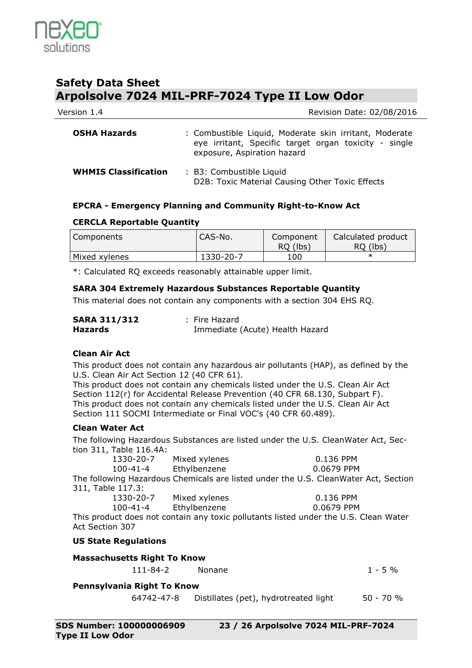

| Version 1.4 | Revision Date: 02/08/2016 |
|-------------|---------------------------|
|             |                           |

| <b>OSHA Hazards</b>         | : Combustible Liquid, Moderate skin irritant, Moderate<br>eye irritant, Specific target organ toxicity - single<br>exposure, Aspiration hazard |
|-----------------------------|------------------------------------------------------------------------------------------------------------------------------------------------|
| <b>WHMIS Classification</b> | : B3: Combustible Liquid<br>D2B: Toxic Material Causing Other Toxic Effects                                                                    |

### **EPCRA - Emergency Planning and Community Right-to-Know Act**

### **CERCLA Reportable Quantity**

| Components    | "CAS-No." | Component<br>RQ (lbs) | Calculated product<br>RQ (lbs) |
|---------------|-----------|-----------------------|--------------------------------|
| Mixed xylenes | 1330-20-7 | 100                   |                                |

\*: Calculated RQ exceeds reasonably attainable upper limit.

### **SARA 304 Extremely Hazardous Substances Reportable Quantity**

This material does not contain any components with a section 304 EHS RQ.

| <b>SARA 311/312</b> | : Fire Hazard                   |
|---------------------|---------------------------------|
| <b>Hazards</b>      | Immediate (Acute) Health Hazard |

### **Clean Air Act**

This product does not contain any hazardous air pollutants (HAP), as defined by the U.S. Clean Air Act Section 12 (40 CFR 61).

This product does not contain any chemicals listed under the U.S. Clean Air Act Section 112(r) for Accidental Release Prevention (40 CFR 68.130, Subpart F). This product does not contain any chemicals listed under the U.S. Clean Air Act Section 111 SOCMI Intermediate or Final VOC's (40 CFR 60.489).

### **Clean Water Act**

The following Hazardous Substances are listed under the U.S. CleanWater Act, Section 311, Table 116.4A:

| 1330-20-7         | Mixed xylenes                                                                                                                                                                                                                                                                                    | 0.136 PPM                                                                           |
|-------------------|--------------------------------------------------------------------------------------------------------------------------------------------------------------------------------------------------------------------------------------------------------------------------------------------------|-------------------------------------------------------------------------------------|
| 100-41-4          | Ethylbenzene                                                                                                                                                                                                                                                                                     | 0.0679 PPM                                                                          |
|                   |                                                                                                                                                                                                                                                                                                  | The following Hazardous Chemicals are listed under the U.S. CleanWater Act, Section |
| 311, Table 117.3: |                                                                                                                                                                                                                                                                                                  |                                                                                     |
| 12222222          | $\mathbf{A}$ and $\mathbf{A}$ and $\mathbf{A}$ and $\mathbf{A}$ and $\mathbf{A}$ and $\mathbf{A}$ and $\mathbf{A}$ and $\mathbf{A}$ and $\mathbf{A}$ and $\mathbf{A}$ and $\mathbf{A}$ and $\mathbf{A}$ and $\mathbf{A}$ and $\mathbf{A}$ and $\mathbf{A}$ and $\mathbf{A}$ and $\mathbf{A}$ and | $0.122$ $0.011$                                                                     |

| 1330-20-7      | Mixed xylenes | 0.136 PPM  |
|----------------|---------------|------------|
| $100 - 41 - 4$ | Ethylbenzene  | 0.0679 PPM |

This product does not contain any toxic pollutants listed under the U.S. Clean Water Act Section 307

**US State Regulations**

### **Massachusetts Right To Know**

111-84-2 Nonane 1 - 5 %

### **Pennsylvania Right To Know**

64742-47-8 Distillates (pet), hydrotreated light 50 - 70 %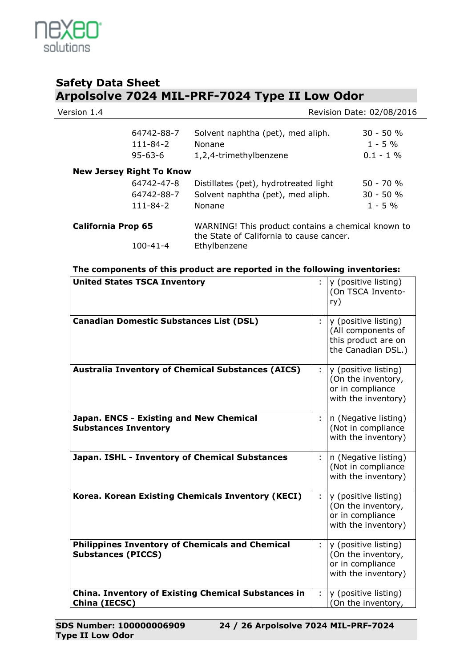

| Version 1.4               |                                               |                                                                                                | Revision Date: 02/08/2016               |
|---------------------------|-----------------------------------------------|------------------------------------------------------------------------------------------------|-----------------------------------------|
|                           | 64742-88-7<br>$111 - 84 - 2$<br>$95 - 63 - 6$ | Solvent naphtha (pet), med aliph.<br>Nonane<br>1,2,4-trimethylbenzene                          | $30 - 50 %$<br>$1 - 5\%$<br>$0.1 - 1\%$ |
|                           | <b>New Jersey Right To Know</b>               |                                                                                                |                                         |
|                           | 64742-47-8                                    | Distillates (pet), hydrotreated light                                                          | $50 - 70 %$                             |
|                           | 64742-88-7                                    | Solvent naphtha (pet), med aliph.                                                              | $30 - 50 %$                             |
|                           | 111-84-2                                      | Nonane                                                                                         | $1 - 5%$                                |
| <b>California Prop 65</b> |                                               | WARNING! This product contains a chemical known to<br>the State of California to cause cancer. |                                         |
|                           | $100 - 41 - 4$                                | Ethylbenzene                                                                                   |                                         |

| <b>United States TSCA Inventory</b>                                                 |   | y (positive listing)<br>(On TSCA Invento-<br>ry)                                        |
|-------------------------------------------------------------------------------------|---|-----------------------------------------------------------------------------------------|
| <b>Canadian Domestic Substances List (DSL)</b>                                      |   | y (positive listing)<br>(All components of<br>this product are on<br>the Canadian DSL.) |
| <b>Australia Inventory of Chemical Substances (AICS)</b>                            | ÷ | y (positive listing)<br>(On the inventory,<br>or in compliance<br>with the inventory)   |
| Japan. ENCS - Existing and New Chemical<br><b>Substances Inventory</b>              | ÷ | n (Negative listing)<br>(Not in compliance<br>with the inventory)                       |
| Japan. ISHL - Inventory of Chemical Substances                                      | ÷ | n (Negative listing)<br>(Not in compliance<br>with the inventory)                       |
| Korea. Korean Existing Chemicals Inventory (KECI)                                   | ÷ | y (positive listing)<br>(On the inventory,<br>or in compliance<br>with the inventory)   |
| <b>Philippines Inventory of Chemicals and Chemical</b><br><b>Substances (PICCS)</b> | ÷ | y (positive listing)<br>(On the inventory,<br>or in compliance<br>with the inventory)   |
| <b>China. Inventory of Existing Chemical Substances in</b><br>China (IECSC)         | ÷ | y (positive listing)<br>(On the inventory,                                              |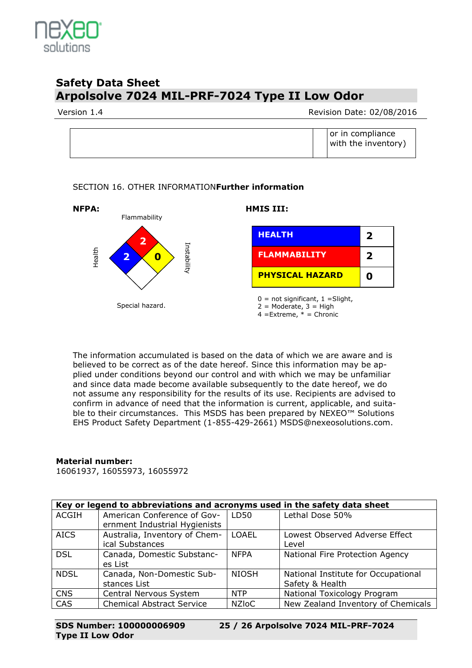

Version 1.4 **Network 1.4** Revision Date: 02/08/2016

|  |  |  | or in compliance<br>with the inventory) |  |
|--|--|--|-----------------------------------------|--|
|--|--|--|-----------------------------------------|--|

### SECTION 16. OTHER INFORMATION**Further information**



The information accumulated is based on the data of which we are aware and is believed to be correct as of the date hereof. Since this information may be applied under conditions beyond our control and with which we may be unfamiliar and since data made become available subsequently to the date hereof, we do not assume any responsibility for the results of its use. Recipients are advised to confirm in advance of need that the information is current, applicable, and suitable to their circumstances. This MSDS has been prepared by NEXEO™ Solutions EHS Product Safety Department (1-855-429-2661) MSDS@nexeosolutions.com.

### **Material number:**

16061937, 16055973, 16055972

| Key or legend to abbreviations and acronyms used in the safety data sheet |                                  |              |                                     |  |  |
|---------------------------------------------------------------------------|----------------------------------|--------------|-------------------------------------|--|--|
| <b>ACGIH</b>                                                              | American Conference of Gov-      | LD50         | Lethal Dose 50%                     |  |  |
|                                                                           | ernment Industrial Hygienists    |              |                                     |  |  |
| <b>AICS</b>                                                               | Australia, Inventory of Chem-    | <b>LOAEL</b> | Lowest Observed Adverse Effect      |  |  |
|                                                                           | ical Substances                  |              | Level                               |  |  |
| <b>DSL</b>                                                                | Canada, Domestic Substanc-       | <b>NFPA</b>  | National Fire Protection Agency     |  |  |
|                                                                           | es List                          |              |                                     |  |  |
| <b>NDSL</b>                                                               | Canada, Non-Domestic Sub-        | <b>NIOSH</b> | National Institute for Occupational |  |  |
|                                                                           | stances List                     |              | Safety & Health                     |  |  |
| <b>CNS</b>                                                                | Central Nervous System           | <b>NTP</b>   | National Toxicology Program         |  |  |
| CAS                                                                       | <b>Chemical Abstract Service</b> | <b>NZIOC</b> | New Zealand Inventory of Chemicals  |  |  |